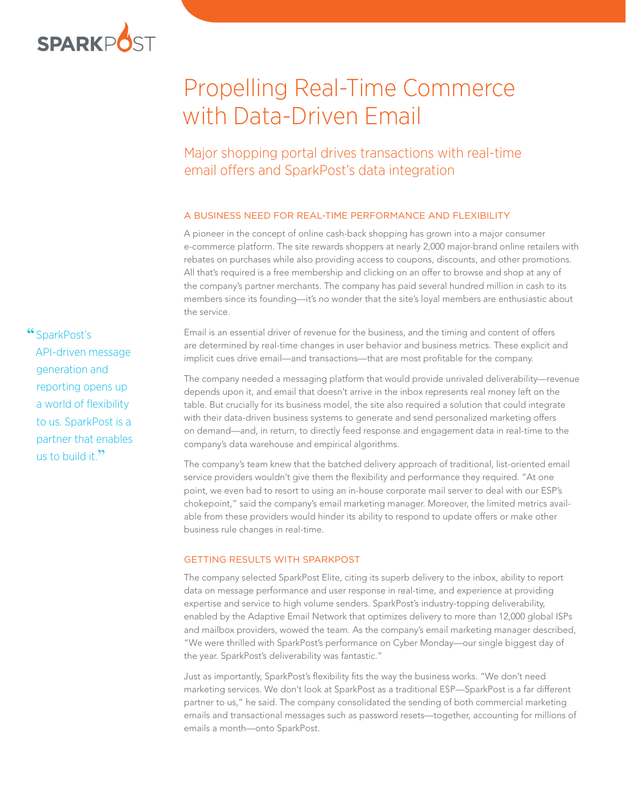

# Propelling Real-Time Commerce with Data-Driven Email

## Major shopping portal drives transactions with real-time email offers and SparkPost's data integration

### A BUSINESS NEED FOR REAL-TIME PERFORMANCE AND FLEXIBILITY

A pioneer in the concept of online cash-back shopping has grown into a major consumer e-commerce platform. The site rewards shoppers at nearly 2,000 major-brand online retailers with rebates on purchases while also providing access to coupons, discounts, and other promotions. All that's required is a free membership and clicking on an offer to browse and shop at any of the company's partner merchants. The company has paid several hundred million in cash to its members since its founding—it's no wonder that the site's loyal members are enthusiastic about the service.

Email is an essential driver of revenue for the business, and the timing and content of offers are determined by real-time changes in user behavior and business metrics. These explicit and implicit cues drive email—and transactions—that are most profitable for the company.

The company needed a messaging platform that would provide unrivaled deliverability—revenue depends upon it, and email that doesn't arrive in the inbox represents real money left on the table. But crucially for its business model, the site also required a solution that could integrate with their data-driven business systems to generate and send personalized marketing offers on demand—and, in return, to directly feed response and engagement data in real-time to the company's data warehouse and empirical algorithms.

The company's team knew that the batched delivery approach of traditional, list-oriented email service providers wouldn't give them the flexibility and performance they required. "At one point, we even had to resort to using an in-house corporate mail server to deal with our ESP's chokepoint," said the company's email marketing manager. Moreover, the limited metrics available from these providers would hinder its ability to respond to update offers or make other business rule changes in real-time.

#### **GETTING RESULTS WITH SPARKPOST**

The company selected SparkPost Elite, citing its superb delivery to the inbox, ability to report data on message performance and user response in real-time, and experience at providing expertise and service to high volume senders. SparkPost's industry-topping deliverability, enabled by the Adaptive Email Network that optimizes delivery to more than 12,000 global ISPs and mailbox providers, wowed the team. As the company's email marketing manager described, "We were thrilled with SparkPost's performance on Cyber Monday—our single biggest day of the year. SparkPost's deliverability was fantastic."

Just as importantly, SparkPost's flexibility fits the way the business works. "We don't need marketing services. We don't look at SparkPost as a traditional ESP—SparkPost is a far different partner to us," he said. The company consolidated the sending of both commercial marketing emails and transactional messages such as password resets—together, accounting for millions of emails a month—onto SparkPost.

**"**SparkPost's API-driven message generation and reporting opens up a world of flexibility to us. SparkPost is a partner that enables us to build it.**"**